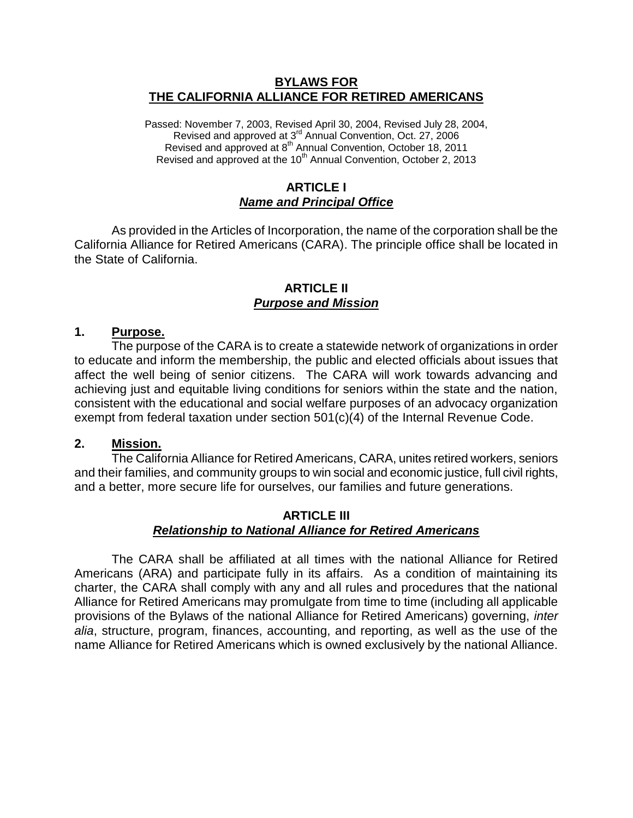#### **BYLAWS FOR THE CALIFORNIA ALLIANCE FOR RETIRED AMERICANS**

Passed: November 7, 2003, Revised April 30, 2004, Revised July 28, 2004, Revised and approved at 3<sup>rd</sup> Annual Convention, Oct. 27, 2006 Revised and approved at 8<sup>th</sup> Annual Convention, October 18, 2011 Revised and approved at the 10<sup>th</sup> Annual Convention, October 2, 2013

#### **ARTICLE I** *Name and Principal Office*

As provided in the Articles of Incorporation, the name of the corporation shall be the California Alliance for Retired Americans (CARA). The principle office shall be located in the State of California.

#### **ARTICLE II** *Purpose and Mission*

#### **1. Purpose.**

The purpose of the CARA is to create a statewide network of organizations in order to educate and inform the membership, the public and elected officials about issues that affect the well being of senior citizens. The CARA will work towards advancing and achieving just and equitable living conditions for seniors within the state and the nation, consistent with the educational and social welfare purposes of an advocacy organization exempt from federal taxation under section 501(c)(4) of the Internal Revenue Code.

#### **2. Mission.**

The California Alliance for Retired Americans, CARA, unites retired workers, seniors and their families, and community groups to win social and economic justice, full civil rights, and a better, more secure life for ourselves, our families and future generations.

#### **ARTICLE III** *Relationship to National Alliance for Retired Americans*

The CARA shall be affiliated at all times with the national Alliance for Retired Americans (ARA) and participate fully in its affairs. As a condition of maintaining its charter, the CARA shall comply with any and all rules and procedures that the national Alliance for Retired Americans may promulgate from time to time (including all applicable provisions of the Bylaws of the national Alliance for Retired Americans) governing, *inter alia*, structure, program, finances, accounting, and reporting, as well as the use of the name Alliance for Retired Americans which is owned exclusively by the national Alliance.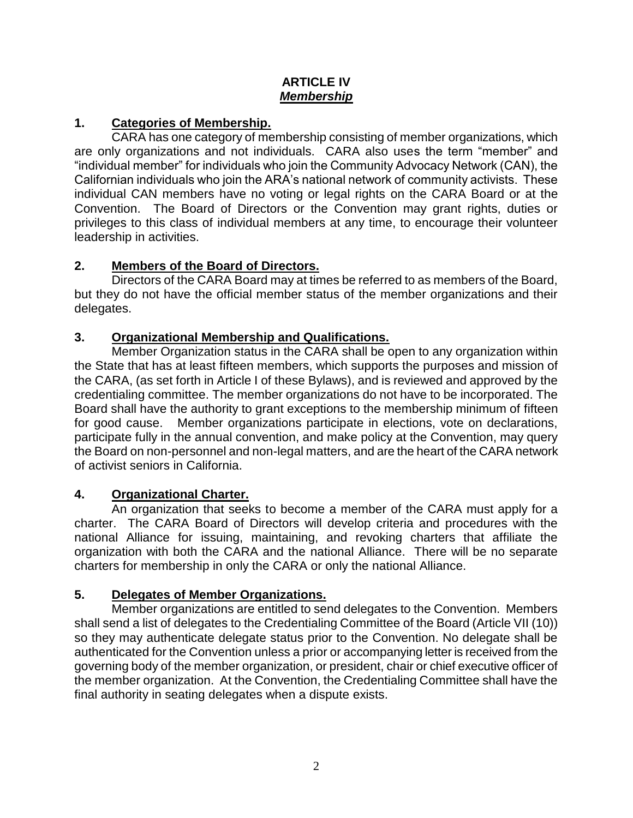### **ARTICLE IV** *Membership*

## **1. Categories of Membership.**

CARA has one category of membership consisting of member organizations, which are only organizations and not individuals. CARA also uses the term "member" and "individual member" for individuals who join the Community Advocacy Network (CAN), the Californian individuals who join the ARA's national network of community activists. These individual CAN members have no voting or legal rights on the CARA Board or at the Convention. The Board of Directors or the Convention may grant rights, duties or privileges to this class of individual members at any time, to encourage their volunteer leadership in activities.

## **2. Members of the Board of Directors.**

Directors of the CARA Board may at times be referred to as members of the Board, but they do not have the official member status of the member organizations and their delegates.

## **3. Organizational Membership and Qualifications.**

Member Organization status in the CARA shall be open to any organization within the State that has at least fifteen members, which supports the purposes and mission of the CARA, (as set forth in Article I of these Bylaws), and is reviewed and approved by the credentialing committee. The member organizations do not have to be incorporated. The Board shall have the authority to grant exceptions to the membership minimum of fifteen for good cause. Member organizations participate in elections, vote on declarations, participate fully in the annual convention, and make policy at the Convention, may query the Board on non-personnel and non-legal matters, and are the heart of the CARA network of activist seniors in California.

## **4. Organizational Charter.**

An organization that seeks to become a member of the CARA must apply for a charter. The CARA Board of Directors will develop criteria and procedures with the national Alliance for issuing, maintaining, and revoking charters that affiliate the organization with both the CARA and the national Alliance. There will be no separate charters for membership in only the CARA or only the national Alliance.

# **5. Delegates of Member Organizations.**

Member organizations are entitled to send delegates to the Convention. Members shall send a list of delegates to the Credentialing Committee of the Board (Article VII (10)) so they may authenticate delegate status prior to the Convention. No delegate shall be authenticated for the Convention unless a prior or accompanying letter is received from the governing body of the member organization, or president, chair or chief executive officer of the member organization. At the Convention, the Credentialing Committee shall have the final authority in seating delegates when a dispute exists.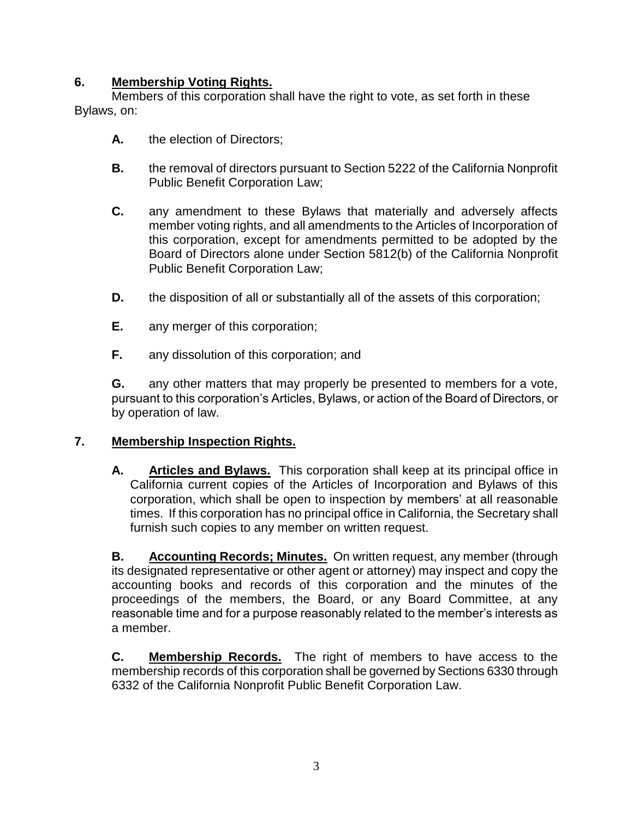## **6. Membership Voting Rights.**

Members of this corporation shall have the right to vote, as set forth in these Bylaws, on:

- **A.** the election of Directors;
- **B.** the removal of directors pursuant to Section 5222 of the California Nonprofit Public Benefit Corporation Law;
- **C.** any amendment to these Bylaws that materially and adversely affects member voting rights, and all amendments to the Articles of Incorporation of this corporation, except for amendments permitted to be adopted by the Board of Directors alone under Section 5812(b) of the California Nonprofit Public Benefit Corporation Law;
- **D.** the disposition of all or substantially all of the assets of this corporation;
- **E.** any merger of this corporation;
- **F.** any dissolution of this corporation; and

**G.** any other matters that may properly be presented to members for a vote, pursuant to this corporation's Articles, Bylaws, or action of the Board of Directors, or by operation of law.

## **7. Membership Inspection Rights.**

**A. Articles and Bylaws.** This corporation shall keep at its principal office in California current copies of the Articles of Incorporation and Bylaws of this corporation, which shall be open to inspection by members' at all reasonable times. If this corporation has no principal office in California, the Secretary shall furnish such copies to any member on written request.

**B. Accounting Records; Minutes.** On written request, any member (through its designated representative or other agent or attorney) may inspect and copy the accounting books and records of this corporation and the minutes of the proceedings of the members, the Board, or any Board Committee, at any reasonable time and for a purpose reasonably related to the member's interests as a member.

**C. Membership Records.** The right of members to have access to the membership records of this corporation shall be governed by Sections 6330 through 6332 of the California Nonprofit Public Benefit Corporation Law.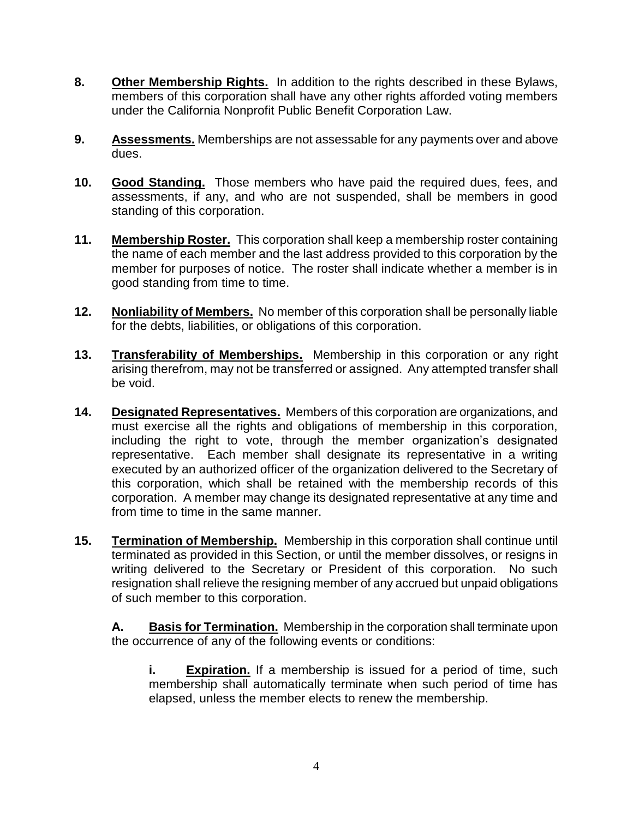- **8. Other Membership Rights.** In addition to the rights described in these Bylaws, members of this corporation shall have any other rights afforded voting members under the California Nonprofit Public Benefit Corporation Law.
- **9. Assessments.** Memberships are not assessable for any payments over and above dues.
- **10. Good Standing.** Those members who have paid the required dues, fees, and assessments, if any, and who are not suspended, shall be members in good standing of this corporation.
- **11. Membership Roster.** This corporation shall keep a membership roster containing the name of each member and the last address provided to this corporation by the member for purposes of notice. The roster shall indicate whether a member is in good standing from time to time.
- **12. Nonliability of Members.** No member of this corporation shall be personally liable for the debts, liabilities, or obligations of this corporation.
- **13. Transferability of Memberships.** Membership in this corporation or any right arising therefrom, may not be transferred or assigned. Any attempted transfer shall be void.
- **14. Designated Representatives.** Members of this corporation are organizations, and must exercise all the rights and obligations of membership in this corporation, including the right to vote, through the member organization's designated representative. Each member shall designate its representative in a writing executed by an authorized officer of the organization delivered to the Secretary of this corporation, which shall be retained with the membership records of this corporation. A member may change its designated representative at any time and from time to time in the same manner.
- **15. Termination of Membership.** Membership in this corporation shall continue until terminated as provided in this Section, or until the member dissolves, or resigns in writing delivered to the Secretary or President of this corporation. No such resignation shall relieve the resigning member of any accrued but unpaid obligations of such member to this corporation.

**A. Basis for Termination.** Membership in the corporation shall terminate upon the occurrence of any of the following events or conditions:

**i. Expiration.** If a membership is issued for a period of time, such membership shall automatically terminate when such period of time has elapsed, unless the member elects to renew the membership.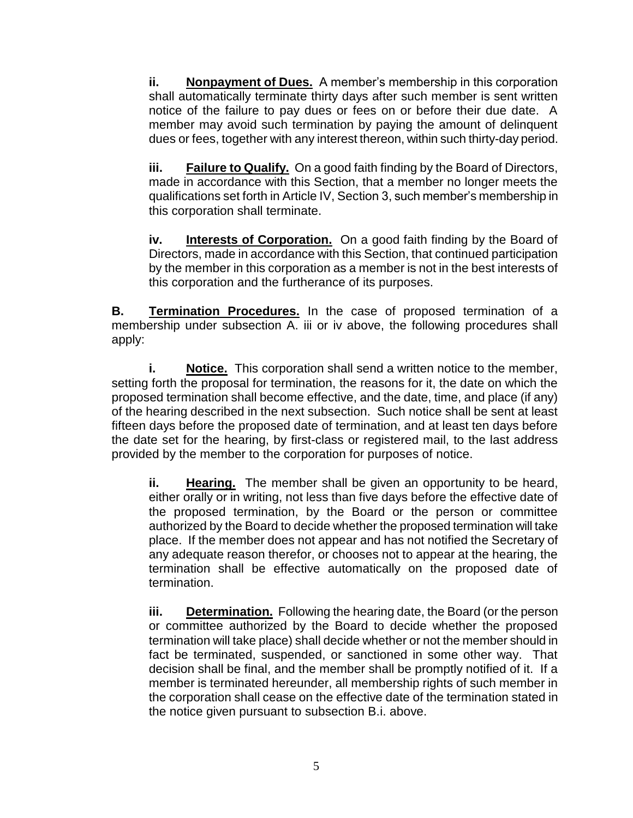**ii. Nonpayment of Dues.** A member's membership in this corporation shall automatically terminate thirty days after such member is sent written notice of the failure to pay dues or fees on or before their due date. A member may avoid such termination by paying the amount of delinquent dues or fees, together with any interest thereon, within such thirty-day period.

**iii. Failure to Qualify.** On a good faith finding by the Board of Directors, made in accordance with this Section, that a member no longer meets the qualifications set forth in Article IV, Section 3, such member's membership in this corporation shall terminate.

**iv. Interests of Corporation.** On a good faith finding by the Board of Directors, made in accordance with this Section, that continued participation by the member in this corporation as a member is not in the best interests of this corporation and the furtherance of its purposes.

**B. Termination Procedures.** In the case of proposed termination of a membership under subsection A. iii or iv above, the following procedures shall apply:

**i. Notice.** This corporation shall send a written notice to the member, setting forth the proposal for termination, the reasons for it, the date on which the proposed termination shall become effective, and the date, time, and place (if any) of the hearing described in the next subsection. Such notice shall be sent at least fifteen days before the proposed date of termination, and at least ten days before the date set for the hearing, by first-class or registered mail, to the last address provided by the member to the corporation for purposes of notice.

**ii. Hearing.** The member shall be given an opportunity to be heard, either orally or in writing, not less than five days before the effective date of the proposed termination, by the Board or the person or committee authorized by the Board to decide whether the proposed termination will take place. If the member does not appear and has not notified the Secretary of any adequate reason therefor, or chooses not to appear at the hearing, the termination shall be effective automatically on the proposed date of termination.

**iii. Determination.** Following the hearing date, the Board (or the person or committee authorized by the Board to decide whether the proposed termination will take place) shall decide whether or not the member should in fact be terminated, suspended, or sanctioned in some other way. That decision shall be final, and the member shall be promptly notified of it. If a member is terminated hereunder, all membership rights of such member in the corporation shall cease on the effective date of the termination stated in the notice given pursuant to subsection B.i. above.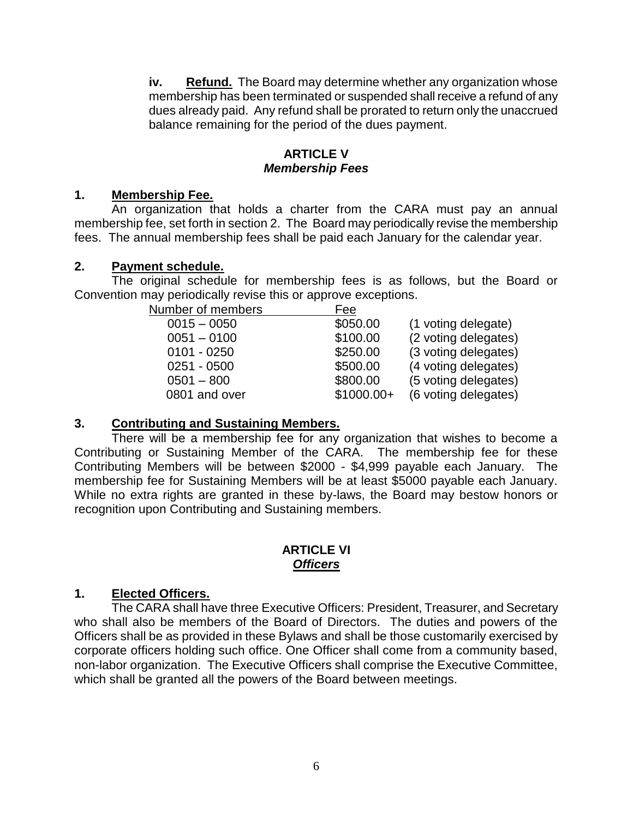**iv. Refund.** The Board may determine whether any organization whose membership has been terminated or suspended shall receive a refund of any dues already paid. Any refund shall be prorated to return only the unaccrued balance remaining for the period of the dues payment.

#### **ARTICLE V** *Membership Fees*

### **1. Membership Fee.**

An organization that holds a charter from the CARA must pay an annual membership fee, set forth in section 2. The Board may periodically revise the membership fees. The annual membership fees shall be paid each January for the calendar year.

#### **2. Payment schedule.**

The original schedule for membership fees is as follows, but the Board or Convention may periodically revise this or approve exceptions.

| Number of members | Fee         |                      |
|-------------------|-------------|----------------------|
| $0015 - 0050$     | \$050.00    | (1 voting delegate)  |
| $0051 - 0100$     | \$100.00    | (2 voting delegates) |
| $0101 - 0250$     | \$250.00    | (3 voting delegates) |
| $0251 - 0500$     | \$500.00    | (4 voting delegates) |
| $0501 - 800$      | \$800.00    | (5 voting delegates) |
| 0801 and over     | $$1000.00+$ | (6 voting delegates) |

#### **3. Contributing and Sustaining Members.**

There will be a membership fee for any organization that wishes to become a Contributing or Sustaining Member of the CARA. The membership fee for these Contributing Members will be between \$2000 - \$4,999 payable each January. The membership fee for Sustaining Members will be at least \$5000 payable each January. While no extra rights are granted in these by-laws, the Board may bestow honors or recognition upon Contributing and Sustaining members.

## **ARTICLE VI** *Officers*

## **1. Elected Officers.**

The CARA shall have three Executive Officers: President, Treasurer, and Secretary who shall also be members of the Board of Directors. The duties and powers of the Officers shall be as provided in these Bylaws and shall be those customarily exercised by corporate officers holding such office. One Officer shall come from a community based, non-labor organization. The Executive Officers shall comprise the Executive Committee, which shall be granted all the powers of the Board between meetings.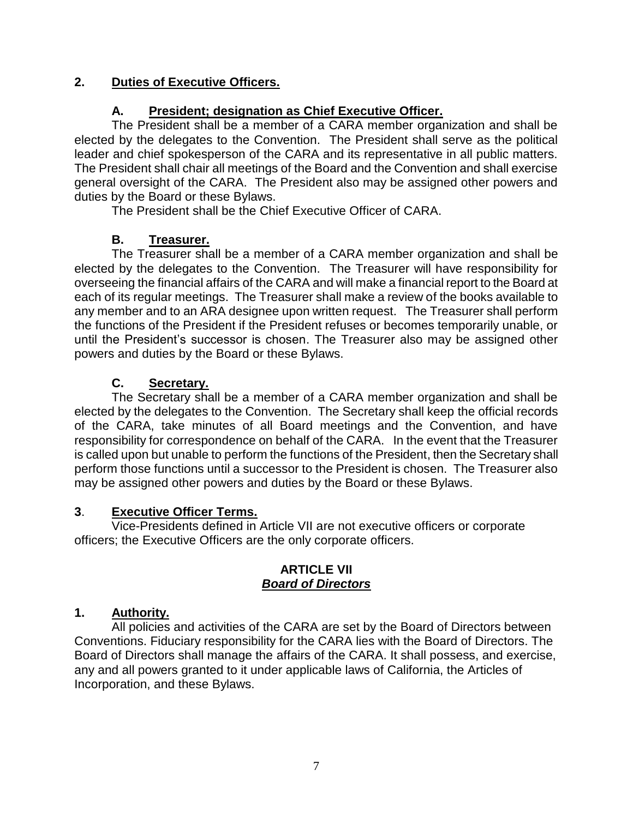## **2. Duties of Executive Officers.**

## **A. President; designation as Chief Executive Officer.**

The President shall be a member of a CARA member organization and shall be elected by the delegates to the Convention. The President shall serve as the political leader and chief spokesperson of the CARA and its representative in all public matters. The President shall chair all meetings of the Board and the Convention and shall exercise general oversight of the CARA. The President also may be assigned other powers and duties by the Board or these Bylaws.

The President shall be the Chief Executive Officer of CARA.

## **B. Treasurer.**

The Treasurer shall be a member of a CARA member organization and shall be elected by the delegates to the Convention. The Treasurer will have responsibility for overseeing the financial affairs of the CARA and will make a financial report to the Board at each of its regular meetings. The Treasurer shall make a review of the books available to any member and to an ARA designee upon written request. The Treasurer shall perform the functions of the President if the President refuses or becomes temporarily unable, or until the President's successor is chosen. The Treasurer also may be assigned other powers and duties by the Board or these Bylaws.

# **C. Secretary.**

The Secretary shall be a member of a CARA member organization and shall be elected by the delegates to the Convention. The Secretary shall keep the official records of the CARA, take minutes of all Board meetings and the Convention, and have responsibility for correspondence on behalf of the CARA. In the event that the Treasurer is called upon but unable to perform the functions of the President, then the Secretary shall perform those functions until a successor to the President is chosen. The Treasurer also may be assigned other powers and duties by the Board or these Bylaws.

## **3**. **Executive Officer Terms.**

Vice-Presidents defined in Article VII are not executive officers or corporate officers; the Executive Officers are the only corporate officers.

#### **ARTICLE VII** *Board of Directors*

## **1. Authority.**

All policies and activities of the CARA are set by the Board of Directors between Conventions. Fiduciary responsibility for the CARA lies with the Board of Directors. The Board of Directors shall manage the affairs of the CARA. It shall possess, and exercise, any and all powers granted to it under applicable laws of California, the Articles of Incorporation, and these Bylaws.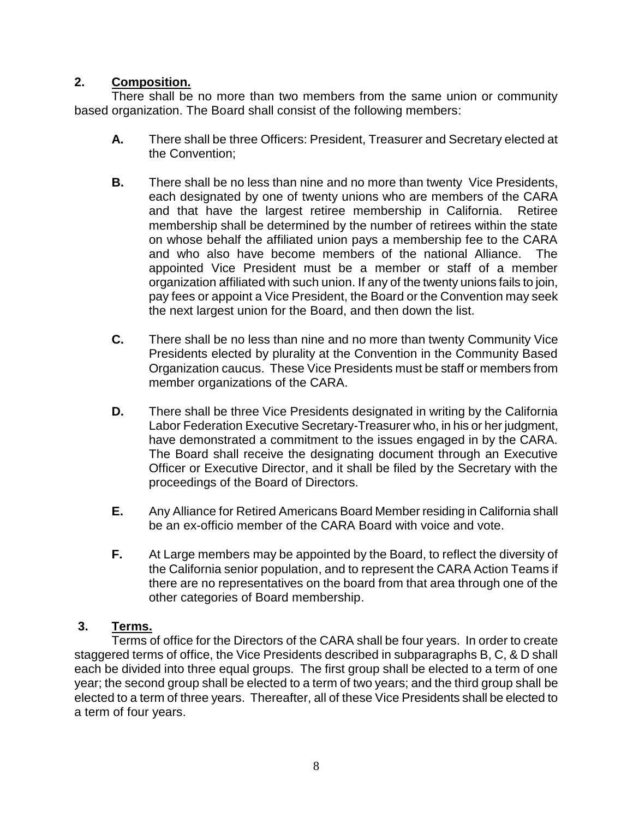## **2. Composition.**

There shall be no more than two members from the same union or community based organization. The Board shall consist of the following members:

- **A.** There shall be three Officers: President, Treasurer and Secretary elected at the Convention;
- **B.** There shall be no less than nine and no more than twenty Vice Presidents, each designated by one of twenty unions who are members of the CARA and that have the largest retiree membership in California. Retiree membership shall be determined by the number of retirees within the state on whose behalf the affiliated union pays a membership fee to the CARA and who also have become members of the national Alliance. The appointed Vice President must be a member or staff of a member organization affiliated with such union. If any of the twenty unions fails to join, pay fees or appoint a Vice President, the Board or the Convention may seek the next largest union for the Board, and then down the list.
- **C.** There shall be no less than nine and no more than twenty Community Vice Presidents elected by plurality at the Convention in the Community Based Organization caucus. These Vice Presidents must be staff or members from member organizations of the CARA.
- **D.** There shall be three Vice Presidents designated in writing by the California Labor Federation Executive Secretary-Treasurer who, in his or her judgment, have demonstrated a commitment to the issues engaged in by the CARA. The Board shall receive the designating document through an Executive Officer or Executive Director, and it shall be filed by the Secretary with the proceedings of the Board of Directors.
- **E.** Any Alliance for Retired Americans Board Member residing in California shall be an ex-officio member of the CARA Board with voice and vote.
- **F.** At Large members may be appointed by the Board, to reflect the diversity of the California senior population, and to represent the CARA Action Teams if there are no representatives on the board from that area through one of the other categories of Board membership.

## **3. Terms.**

Terms of office for the Directors of the CARA shall be four years. In order to create staggered terms of office, the Vice Presidents described in subparagraphs B, C, & D shall each be divided into three equal groups. The first group shall be elected to a term of one year; the second group shall be elected to a term of two years; and the third group shall be elected to a term of three years. Thereafter, all of these Vice Presidents shall be elected to a term of four years.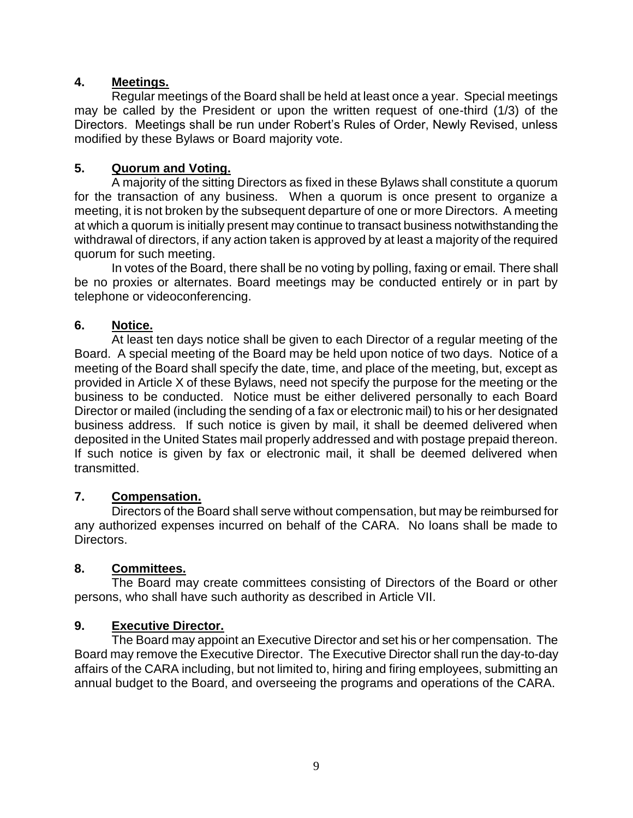## **4. Meetings.**

Regular meetings of the Board shall be held at least once a year. Special meetings may be called by the President or upon the written request of one-third (1/3) of the Directors. Meetings shall be run under Robert's Rules of Order, Newly Revised, unless modified by these Bylaws or Board majority vote.

## **5. Quorum and Voting.**

A majority of the sitting Directors as fixed in these Bylaws shall constitute a quorum for the transaction of any business. When a quorum is once present to organize a meeting, it is not broken by the subsequent departure of one or more Directors. A meeting at which a quorum is initially present may continue to transact business notwithstanding the withdrawal of directors, if any action taken is approved by at least a majority of the required quorum for such meeting.

In votes of the Board, there shall be no voting by polling, faxing or email. There shall be no proxies or alternates. Board meetings may be conducted entirely or in part by telephone or videoconferencing.

## **6. Notice.**

At least ten days notice shall be given to each Director of a regular meeting of the Board. A special meeting of the Board may be held upon notice of two days. Notice of a meeting of the Board shall specify the date, time, and place of the meeting, but, except as provided in Article X of these Bylaws, need not specify the purpose for the meeting or the business to be conducted. Notice must be either delivered personally to each Board Director or mailed (including the sending of a fax or electronic mail) to his or her designated business address. If such notice is given by mail, it shall be deemed delivered when deposited in the United States mail properly addressed and with postage prepaid thereon. If such notice is given by fax or electronic mail, it shall be deemed delivered when transmitted.

## **7. Compensation.**

Directors of the Board shall serve without compensation, but may be reimbursed for any authorized expenses incurred on behalf of the CARA. No loans shall be made to Directors.

## **8. Committees.**

The Board may create committees consisting of Directors of the Board or other persons, who shall have such authority as described in Article VII.

## **9. Executive Director.**

The Board may appoint an Executive Director and set his or her compensation. The Board may remove the Executive Director. The Executive Director shall run the day-to-day affairs of the CARA including, but not limited to, hiring and firing employees, submitting an annual budget to the Board, and overseeing the programs and operations of the CARA.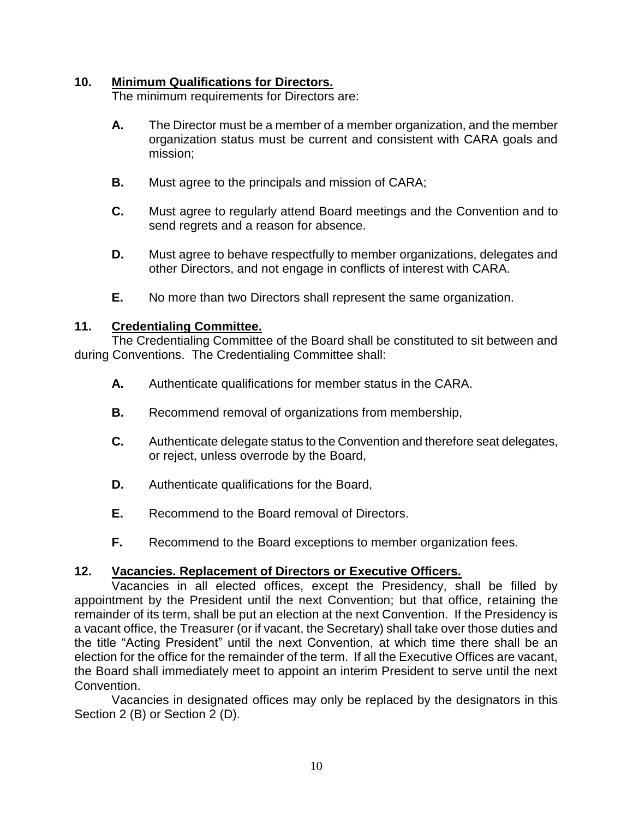#### **10. Minimum Qualifications for Directors.**

The minimum requirements for Directors are:

- **A.** The Director must be a member of a member organization, and the member organization status must be current and consistent with CARA goals and mission;
- **B.** Must agree to the principals and mission of CARA;
- **C.** Must agree to regularly attend Board meetings and the Convention and to send regrets and a reason for absence.
- **D.** Must agree to behave respectfully to member organizations, delegates and other Directors, and not engage in conflicts of interest with CARA.
- **E.** No more than two Directors shall represent the same organization.

#### **11. Credentialing Committee.**

The Credentialing Committee of the Board shall be constituted to sit between and during Conventions. The Credentialing Committee shall:

- **A.** Authenticate qualifications for member status in the CARA.
- **B.** Recommend removal of organizations from membership,
- **C.** Authenticate delegate status to the Convention and therefore seat delegates, or reject, unless overrode by the Board,
- **D.** Authenticate qualifications for the Board,
- **E.** Recommend to the Board removal of Directors.
- **F.** Recommend to the Board exceptions to member organization fees.

## **12. Vacancies. Replacement of Directors or Executive Officers.**

Vacancies in all elected offices, except the Presidency, shall be filled by appointment by the President until the next Convention; but that office, retaining the remainder of its term, shall be put an election at the next Convention. If the Presidency is a vacant office, the Treasurer (or if vacant, the Secretary) shall take over those duties and the title "Acting President" until the next Convention, at which time there shall be an election for the office for the remainder of the term. If all the Executive Offices are vacant, the Board shall immediately meet to appoint an interim President to serve until the next Convention.

Vacancies in designated offices may only be replaced by the designators in this Section 2 (B) or Section 2 (D).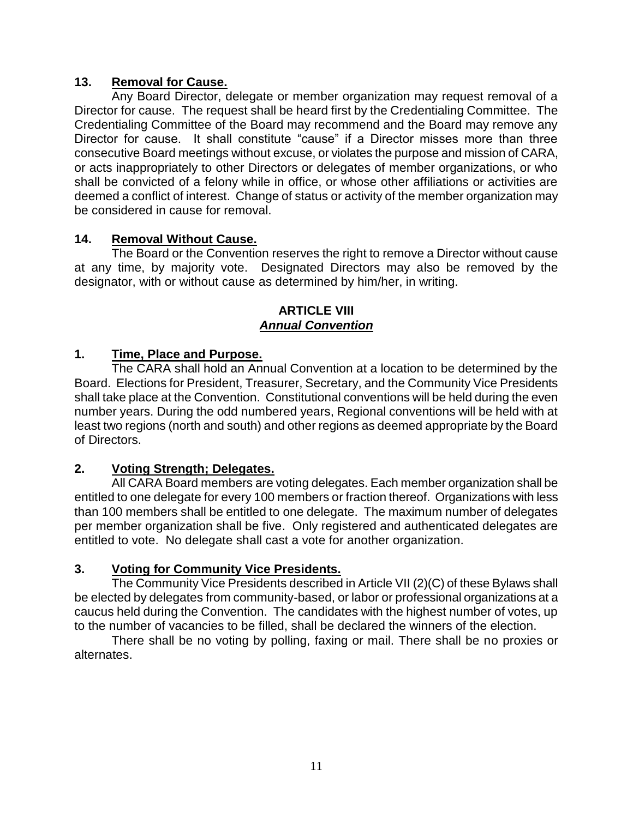### **13. Removal for Cause.**

Any Board Director, delegate or member organization may request removal of a Director for cause. The request shall be heard first by the Credentialing Committee. The Credentialing Committee of the Board may recommend and the Board may remove any Director for cause. It shall constitute "cause" if a Director misses more than three consecutive Board meetings without excuse, or violates the purpose and mission of CARA, or acts inappropriately to other Directors or delegates of member organizations, or who shall be convicted of a felony while in office, or whose other affiliations or activities are deemed a conflict of interest. Change of status or activity of the member organization may be considered in cause for removal.

#### **14. Removal Without Cause.**

The Board or the Convention reserves the right to remove a Director without cause at any time, by majority vote. Designated Directors may also be removed by the designator, with or without cause as determined by him/her, in writing.

#### **ARTICLE VIII** *Annual Convention*

#### **1. Time, Place and Purpose.**

The CARA shall hold an Annual Convention at a location to be determined by the Board. Elections for President, Treasurer, Secretary, and the Community Vice Presidents shall take place at the Convention. Constitutional conventions will be held during the even number years. During the odd numbered years, Regional conventions will be held with at least two regions (north and south) and other regions as deemed appropriate by the Board of Directors.

#### **2. Voting Strength; Delegates.**

All CARA Board members are voting delegates. Each member organization shall be entitled to one delegate for every 100 members or fraction thereof. Organizations with less than 100 members shall be entitled to one delegate. The maximum number of delegates per member organization shall be five. Only registered and authenticated delegates are entitled to vote. No delegate shall cast a vote for another organization.

## **3. Voting for Community Vice Presidents.**

The Community Vice Presidents described in Article VII (2)(C) of these Bylaws shall be elected by delegates from community-based, or labor or professional organizations at a caucus held during the Convention. The candidates with the highest number of votes, up to the number of vacancies to be filled, shall be declared the winners of the election.

There shall be no voting by polling, faxing or mail. There shall be no proxies or alternates.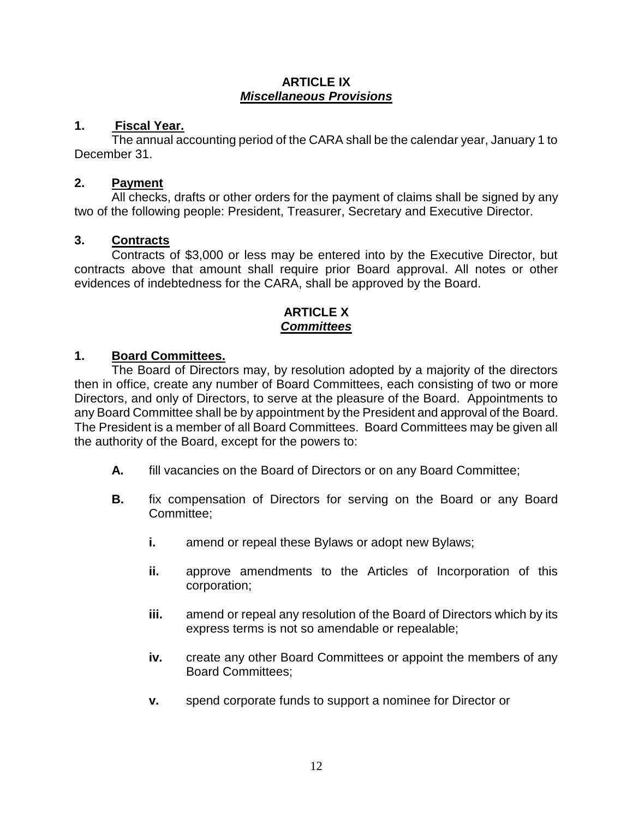#### **ARTICLE IX** *Miscellaneous Provisions*

### **1. Fiscal Year.**

The annual accounting period of the CARA shall be the calendar year, January 1 to December 31.

#### **2. Payment**

All checks, drafts or other orders for the payment of claims shall be signed by any two of the following people: President, Treasurer, Secretary and Executive Director.

#### **3. Contracts**

Contracts of \$3,000 or less may be entered into by the Executive Director, but contracts above that amount shall require prior Board approval. All notes or other evidences of indebtedness for the CARA, shall be approved by the Board.

#### **ARTICLE X** *Committees*

#### **1. Board Committees.**

The Board of Directors may, by resolution adopted by a majority of the directors then in office, create any number of Board Committees, each consisting of two or more Directors, and only of Directors, to serve at the pleasure of the Board. Appointments to any Board Committee shall be by appointment by the President and approval of the Board. The President is a member of all Board Committees. Board Committees may be given all the authority of the Board, except for the powers to:

- **A.** fill vacancies on the Board of Directors or on any Board Committee;
- **B.** fix compensation of Directors for serving on the Board or any Board Committee;
	- **i.** amend or repeal these Bylaws or adopt new Bylaws;
	- **ii.** approve amendments to the Articles of Incorporation of this corporation;
	- **iii.** amend or repeal any resolution of the Board of Directors which by its express terms is not so amendable or repealable;
	- **iv.** create any other Board Committees or appoint the members of any Board Committees;
	- **v.** spend corporate funds to support a nominee for Director or